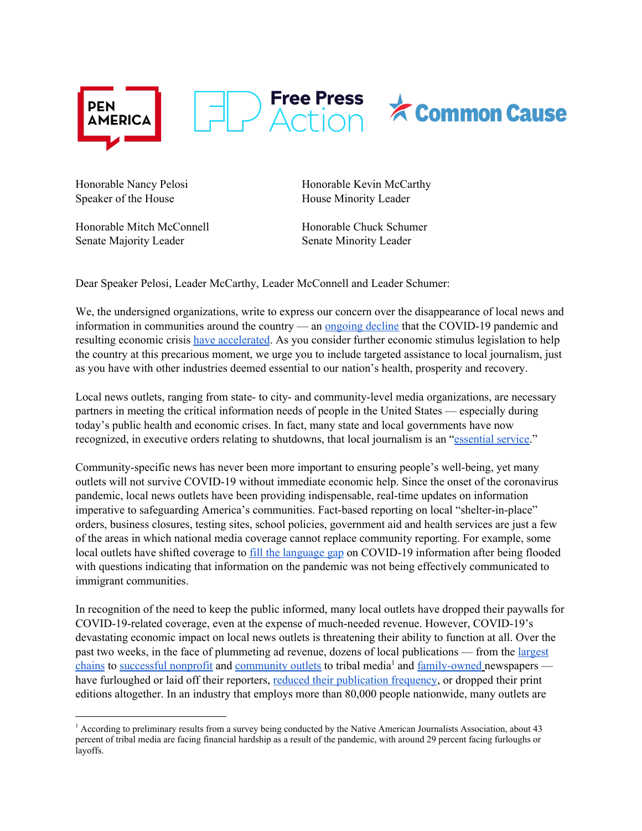

Speaker of the House **House** House Minority Leader

Honorable Mitch McConnell Honorable Chuck Schumer Senate Majority Leader Senate Minority Leader

Honorable Nancy Pelosi Honorable Kevin McCarthy

Dear Speaker Pelosi, Leader McCarthy, Leader McConnell and Leader Schumer:

We, the undersigned organizations, write to express our concern over the disappearance of local news and information in communities around the country — an <u>[ongoing](https://pen.org/wp-content/uploads/2019/12/Losing-the-News-The-Decimation-of-Local-Journalism-and-the-Search-for-Solutions-Report.pdf) decline</u> that the COVID-19 pandemic and resulting economic crisis have [accelerated](https://www.poynter.org/business-work/2020/here-are-the-newsroom-layoffs-furloughs-and-closures-caused-by-the-coronavirus/). As you consider further economic stimulus legislation to help the country at this precarious moment, we urge you to include targeted assistance to local journalism, just as you have with other industries deemed essential to our nation's health, prosperity and recovery.

Local news outlets, ranging from state- to city- and community-level media organizations, are necessary partners in meeting the critical information needs of people in the United States — especially during today's public health and economic crises. In fact, many state and local governments have now recognized, in executive orders relating to shutdowns, that local journalism is an "[essential](https://www.newsmediaalliance.org/important-news-publishers-essential-during-pandemic/) service."

Community-specific news has never been more important to ensuring people's well-being, yet many outlets will not survive COVID-19 without immediate economic help. Since the onset of the coronavirus pandemic, local news outlets have been providing indispensable, real-time updates on information imperative to safeguarding America's communities. Fact-based reporting on local "shelter-in-place" orders, business closures, testing sites, school policies, government aid and health services are just a few of the areas in which national media coverage cannot replace community reporting. For example, some local outlets have shifted coverage to fill the [language](https://www.washingtonpost.com/video/national/an-immigrant-run-radio-station-is-helping-fill-the-language-gap-on-coronavirus-response/2020/03/26/0f728901-cf55-4e45-9195-c5a8f93950bb_video.html) gap on COVID-19 information after being flooded with questions indicating that information on the pandemic was not being effectively communicated to immigrant communities.

In recognition of the need to keep the public informed, many local outlets have dropped their paywalls for COVID-19-related coverage, even at the expense of much-needed revenue. However, COVID-19's devastating economic impact on local news outlets is threatening their ability to function at all. Over the past two weeks, in the face of plummeting ad revenue, dozens of local publications — from the [largest](https://www.thedailybeast.com/gannett-announces-pay-cuts-and-furloughs-across-entire-media-company) [chains](https://www.thedailybeast.com/gannett-announces-pay-cuts-and-furloughs-across-entire-media-company) to [successful](https://www.sevendaysvt.com/OffMessage/archives/2020/03/30/media-note-layoffs-at-vtdigger-furloughs-at-gannett) nonprofit and [community](https://mailchi.mp/d2ab1003f0ec/special-report-covid-19-and-the-community-media-sector?e=bb0b44bcff) outlets to tribal media<sup>1</sup> and [family-owned](https://www.coloradoindependent.com/2020/03/26/colorado-coronavirus-newsrooms/) [n](https://www.coloradoindependent.com/2020/03/26/colorado-coronavirus-newsrooms/)ewspapers have furloughed or laid off their reporters, reduced their [publication](https://www.tampabay.com/news/business/2020/03/30/tampa-bay-times-adopts-temporary-sunday-wednesday-print-schedule-due-to-coronavirus/) frequency, or dropped their print editions altogether. In an industry that employs more than 80,000 people nationwide, many outlets are

<sup>1</sup> According to preliminary results from a survey being conducted by the Native American Journalists Association, about 43 percent of tribal media are facing financial hardship as a result of the pandemic, with around 29 percent facing furloughs or layoffs.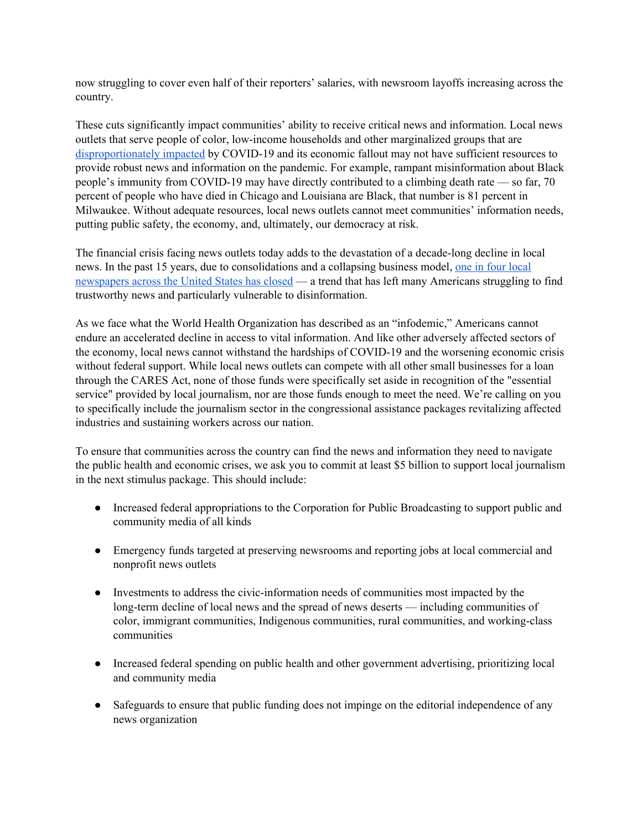now struggling to cover even half of their reporters' salaries, with newsroom layoffs increasing across the country.

These cuts significantly impact communities' ability to receive critical news and information. Local news outlets that serve people of color, low-income households and other marginalized groups that ar[e](https://www.bridgemi.com/michigan-health-watch/black-communities-hit-harder-coronavirus-michigan-not-just-detroit) [disproportionately](https://www.bridgemi.com/michigan-health-watch/black-communities-hit-harder-coronavirus-michigan-not-just-detroit) impacted by COVID-19 and its economic fallout may not have sufficient resources to provide robust news and information on the pandemic. For example, rampant misinformation about Black people's immunity from COVID-19 may have directly contributed to a climbing death rate — so far, 70 percent of people who have died in Chicago and Louisiana are Black, that number is 81 percent in Milwaukee. Without adequate resources, local news outlets cannot meet communities' information needs, putting public safety, the economy, and, ultimately, our democracy at risk.

The financial crisis facing news outlets today adds to the devastation of a decade-long decline in local news. In the past 15 years, due to consolidations and a collapsing business model, one in four [local](https://nysba.org/why-local-news-matters-and-what-we-can-do-to-save-it/) [newspapers](https://nysba.org/why-local-news-matters-and-what-we-can-do-to-save-it/) across the United States has closed — a trend that has left many Americans struggling to find trustworthy news and particularly vulnerable to disinformation.

As we face what the World Health Organization has described as an "infodemic," Americans cannot endure an accelerated decline in access to vital information. And like other adversely affected sectors of the economy, local news cannot withstand the hardships of COVID-19 and the worsening economic crisis without federal support. While local news outlets can compete with all other small businesses for a loan through the CARES Act, none of those funds were specifically set aside in recognition of the "essential service" provided by local journalism, nor are those funds enough to meet the need. We're calling on you to specifically include the journalism sector in the congressional assistance packages revitalizing affected industries and sustaining workers across our nation.

To ensure that communities across the country can find the news and information they need to navigate the public health and economic crises, we ask you to commit at least \$5 billion to support local journalism in the next stimulus package. This should include:

- Increased federal appropriations to the Corporation for Public Broadcasting to support public and community media of all kinds
- Emergency funds targeted at preserving newsrooms and reporting jobs at local commercial and nonprofit news outlets
- Investments to address the civic-information needs of communities most impacted by the long-term decline of local news and the spread of news deserts — including communities of color, immigrant communities, Indigenous communities, rural communities, and working-class communities
- Increased federal spending on public health and other government advertising, prioritizing local and community media
- Safeguards to ensure that public funding does not impinge on the editorial independence of any news organization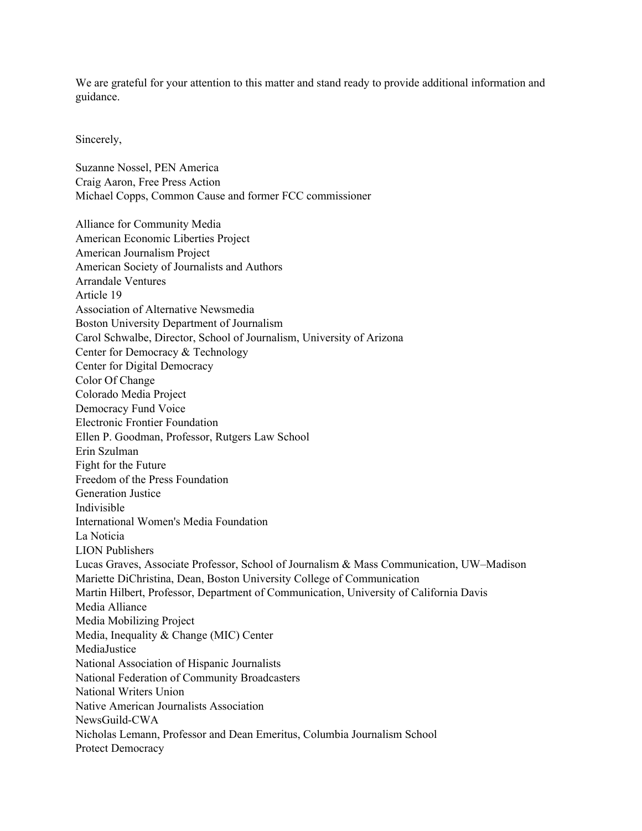We are grateful for your attention to this matter and stand ready to provide additional information and guidance.

Sincerely,

Suzanne Nossel, PEN America Craig Aaron, Free Press Action Michael Copps, Common Cause and former FCC commissioner

Alliance for Community Media American Economic Liberties Project American Journalism Project American Society of Journalists and Authors Arrandale Ventures Article 19 Association of Alternative Newsmedia Boston University Department of Journalism Carol Schwalbe, Director, School of Journalism, University of Arizona Center for Democracy & Technology Center for Digital Democracy Color Of Change Colorado Media Project Democracy Fund Voice Electronic Frontier Foundation Ellen P. Goodman, Professor, Rutgers Law School Erin Szulman Fight for the Future Freedom of the Press Foundation Generation Justice Indivisible International Women's Media Foundation La Noticia LION Publishers Lucas Graves, Associate Professor, School of Journalism & Mass Communication, UW–Madison Mariette DiChristina, Dean, Boston University College of Communication Martin Hilbert, Professor, Department of Communication, University of California Davis Media Alliance Media Mobilizing Project Media, Inequality & Change (MIC) Center MediaJustice National Association of Hispanic Journalists National Federation of Community Broadcasters National Writers Union Native American Journalists Association NewsGuild-CWA Nicholas Lemann, Professor and Dean Emeritus, Columbia Journalism School Protect Democracy